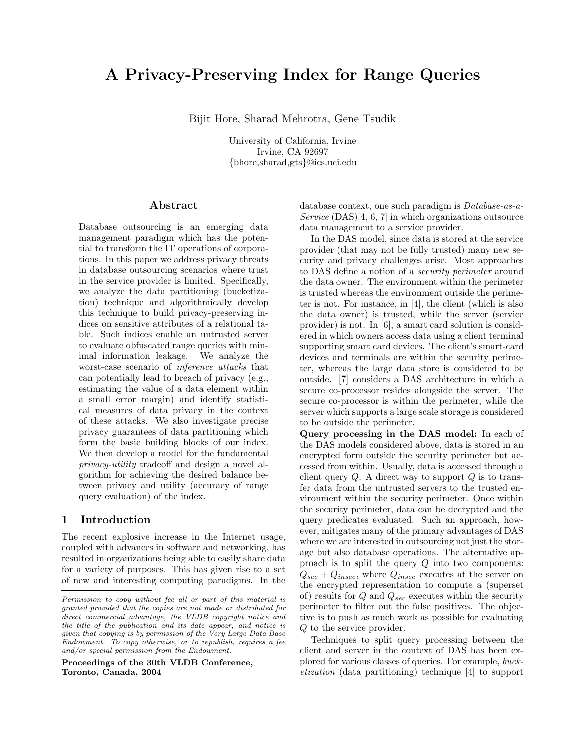# A Privacy-Preserving Index for Range Queries

Bijit Hore, Sharad Mehrotra, Gene Tsudik

University of California, Irvine Irvine, CA 92697 {bhore,sharad,gts}@ics.uci.edu

### Abstract

Database outsourcing is an emerging data management paradigm which has the potential to transform the IT operations of corporations. In this paper we address privacy threats in database outsourcing scenarios where trust in the service provider is limited. Specifically, we analyze the data partitioning (bucketization) technique and algorithmically develop this technique to build privacy-preserving indices on sensitive attributes of a relational table. Such indices enable an untrusted server to evaluate obfuscated range queries with minimal information leakage. We analyze the worst-case scenario of inference attacks that can potentially lead to breach of privacy (e.g., estimating the value of a data element within a small error margin) and identify statistical measures of data privacy in the context of these attacks. We also investigate precise privacy guarantees of data partitioning which form the basic building blocks of our index. We then develop a model for the fundamental privacy-utility tradeoff and design a novel algorithm for achieving the desired balance between privacy and utility (accuracy of range query evaluation) of the index.

# 1 Introduction

The recent explosive increase in the Internet usage, coupled with advances in software and networking, has resulted in organizations being able to easily share data for a variety of purposes. This has given rise to a set of new and interesting computing paradigms. In the

Proceedings of the 30th VLDB Conference, Toronto, Canada, 2004

database context, one such paradigm is Database-as-a-Service  $(DAS)[4, 6, 7]$  in which organizations outsource data management to a service provider.

In the DAS model, since data is stored at the service provider (that may not be fully trusted) many new security and privacy challenges arise. Most approaches to DAS define a notion of a security perimeter around the data owner. The environment within the perimeter is trusted whereas the environment outside the perimeter is not. For instance, in [4], the client (which is also the data owner) is trusted, while the server (service provider) is not. In [6], a smart card solution is considered in which owners access data using a client terminal supporting smart card devices. The client's smart-card devices and terminals are within the security perimeter, whereas the large data store is considered to be outside. [7] considers a DAS architecture in which a secure co-processor resides alongside the server. The secure co-processor is within the perimeter, while the server which supports a large scale storage is considered to be outside the perimeter.

Query processing in the DAS model: In each of the DAS models considered above, data is stored in an encrypted form outside the security perimeter but accessed from within. Usually, data is accessed through a client query  $Q$ . A direct way to support  $Q$  is to transfer data from the untrusted servers to the trusted environment within the security perimeter. Once within the security perimeter, data can be decrypted and the query predicates evaluated. Such an approach, however, mitigates many of the primary advantages of DAS where we are interested in outsourcing not just the storage but also database operations. The alternative approach is to split the query  $Q$  into two components:  $Q_{sec} + Q_{insec}$ , where  $Q_{insec}$  executes at the server on the encrypted representation to compute a (superset of) results for  $Q$  and  $Q_{sec}$  executes within the security perimeter to filter out the false positives. The objective is to push as much work as possible for evaluating Q to the service provider.

Techniques to split query processing between the client and server in the context of DAS has been explored for various classes of queries. For example, bucketization (data partitioning) technique [4] to support

Permission to copy without fee all or part of this material is granted provided that the copies are not made or distributed for direct commercial advantage, the VLDB copyright notice and the title of the publication and its date appear, and notice is given that copying is by permission of the Very Large Data Base Endowment. To copy otherwise, or to republish, requires a fee and/or special permission from the Endowment.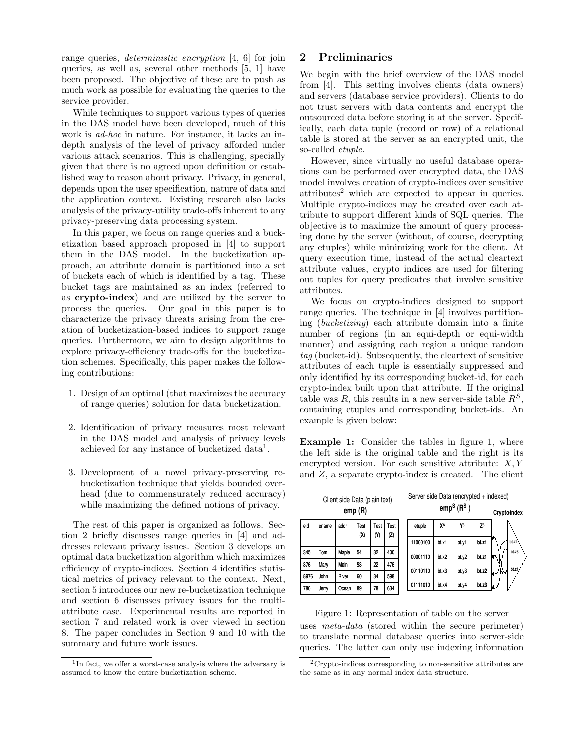range queries, *deterministic encryption* [4, 6] for join queries, as well as, several other methods [5, 1] have been proposed. The objective of these are to push as much work as possible for evaluating the queries to the service provider.

While techniques to support various types of queries in the DAS model have been developed, much of this work is ad-hoc in nature. For instance, it lacks an indepth analysis of the level of privacy afforded under various attack scenarios. This is challenging, specially given that there is no agreed upon definition or established way to reason about privacy. Privacy, in general, depends upon the user specification, nature of data and the application context. Existing research also lacks analysis of the privacy-utility trade-offs inherent to any privacy-preserving data processing system.

In this paper, we focus on range queries and a bucketization based approach proposed in [4] to support them in the DAS model. In the bucketization approach, an attribute domain is partitioned into a set of buckets each of which is identified by a tag. These bucket tags are maintained as an index (referred to as crypto-index) and are utilized by the server to process the queries. Our goal in this paper is to characterize the privacy threats arising from the creation of bucketization-based indices to support range queries. Furthermore, we aim to design algorithms to explore privacy-efficiency trade-offs for the bucketization schemes. Specifically, this paper makes the following contributions:

- 1. Design of an optimal (that maximizes the accuracy of range queries) solution for data bucketization.
- 2. Identification of privacy measures most relevant in the DAS model and analysis of privacy levels achieved for any instance of bucketized data<sup>1</sup>.
- 3. Development of a novel privacy-preserving rebucketization technique that yields bounded overhead (due to commensurately reduced accuracy) while maximizing the defined notions of privacy.

The rest of this paper is organized as follows. Section 2 briefly discusses range queries in [4] and addresses relevant privacy issues. Section 3 develops an optimal data bucketization algorithm which maximizes efficiency of crypto-indices. Section 4 identifies statistical metrics of privacy relevant to the context. Next, section 5 introduces our new re-bucketization technique and section 6 discusses privacy issues for the multiattribute case. Experimental results are reported in section 7 and related work is over viewed in section 8. The paper concludes in Section 9 and 10 with the summary and future work issues.

# 2 Preliminaries

We begin with the brief overview of the DAS model from [4]. This setting involves clients (data owners) and servers (database service providers). Clients to do not trust servers with data contents and encrypt the outsourced data before storing it at the server. Specifically, each data tuple (record or row) of a relational table is stored at the server as an encrypted unit, the so-called etuple.

However, since virtually no useful database operations can be performed over encrypted data, the DAS model involves creation of crypto-indices over sensitive  $\text{attributes}^2$  which are expected to appear in queries. Multiple crypto-indices may be created over each attribute to support different kinds of SQL queries. The objective is to maximize the amount of query processing done by the server (without, of course, decrypting any etuples) while minimizing work for the client. At query execution time, instead of the actual cleartext attribute values, crypto indices are used for filtering out tuples for query predicates that involve sensitive attributes.

We focus on crypto-indices designed to support range queries. The technique in [4] involves partitioning (bucketizing) each attribute domain into a finite number of regions (in an equi-depth or equi-width manner) and assigning each region a unique random tag (bucket-id). Subsequently, the cleartext of sensitive attributes of each tuple is essentially suppressed and only identified by its corresponding bucket-id, for each crypto-index built upon that attribute. If the original table was R, this results in a new server-side table  $R^s$ , containing etuples and corresponding bucket-ids. An example is given below:

Example 1: Consider the tables in figure 1, where the left side is the original table and the right is its encrypted version. For each sensitive attribute:  $X, Y$ and  $Z$ , a separate crypto-index is created. The client

| Client side Data (plain text)<br>emp(R) |       |       |             |             |             |  | Server side Data (encrypted + indexed)<br>emp <sup>S</sup> (R <sup>S</sup> ) |       |       |           | Cryptoindex |
|-----------------------------------------|-------|-------|-------------|-------------|-------------|--|------------------------------------------------------------------------------|-------|-------|-----------|-------------|
| eid                                     | ename | addr  | Test<br>(X) | Test<br>(Y) | Test<br>(2) |  | etuple                                                                       | χs    | γs    | <b>ZS</b> |             |
|                                         |       |       |             |             |             |  | 11000100                                                                     | bt.x1 | bt v1 | bt.z1     | bt.z2       |
| 345                                     | Tom   | Maple | 54          | 32          | 400         |  | 00001110                                                                     | bt.x2 | bt y2 | bt.z1     | bt.z3       |
| 876                                     | Mary  | Main  | 58          | 22          | 476         |  | 00110110                                                                     | bt.x3 | bt v3 | bt. z2    | bt.z1       |
| 8976                                    | John  | River | 60          | 34          | 598         |  |                                                                              |       |       |           |             |
| 780                                     | Jerry | Ocean | 89          | 78          | 634         |  | 01111010                                                                     | bt.x4 | bt.y4 | bt.23     |             |

Figure 1: Representation of table on the server uses meta-data (stored within the secure perimeter) to translate normal database queries into server-side queries. The latter can only use indexing information

<sup>&</sup>lt;sup>1</sup>In fact, we offer a worst-case analysis where the adversary is assumed to know the entire bucketization scheme.

<sup>2</sup>Crypto-indices corresponding to non-sensitive attributes are the same as in any normal index data structure.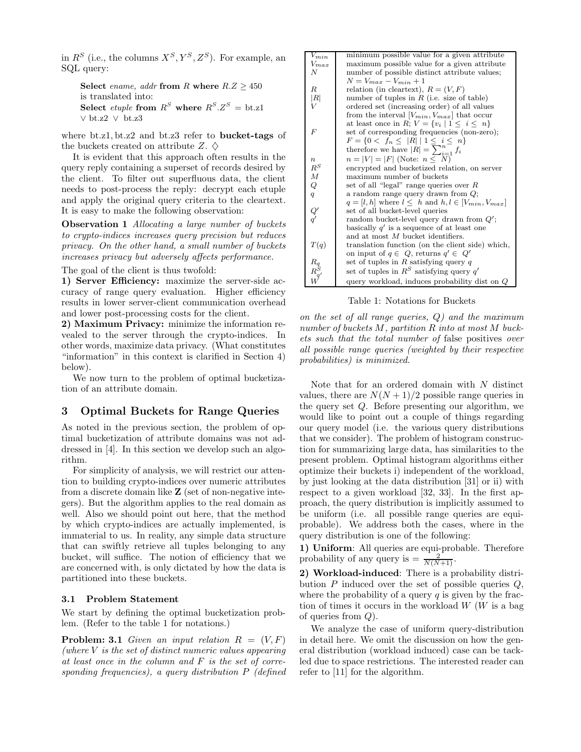in  $R^S$  (i.e., the columns  $X^S, Y^S, Z^S$ ). For example, an SQL query:

Select ename, addr from R where  $R.Z \geq 450$ is translated into: Select *etuple* from  $R^S$  where  $R^S.Z^S = \text{bt}.z1$ ∨ bt.z2 ∨ bt.z3

where bt.z1, bt.z2 and bt.z3 refer to **bucket-tags** of the buckets created on attribute Z.  $\diamond$ 

It is evident that this approach often results in the query reply containing a superset of records desired by the client. To filter out superfluous data, the client needs to post-process the reply: decrypt each etuple and apply the original query criteria to the cleartext. It is easy to make the following observation:

**Observation 1** Allocating a large number of buckets to crypto-indices increases query precision but reduces privacy. On the other hand, a small number of buckets increases privacy but adversely affects performance.

The goal of the client is thus twofold:

1) Server Efficiency: maximize the server-side accuracy of range query evaluation. Higher efficiency results in lower server-client communication overhead and lower post-processing costs for the client.

2) Maximum Privacy: minimize the information revealed to the server through the crypto-indices. In other words, maximize data privacy. (What constitutes "information" in this context is clarified in Section 4) below).

We now turn to the problem of optimal bucketization of an attribute domain.

# 3 Optimal Buckets for Range Queries

As noted in the previous section, the problem of optimal bucketization of attribute domains was not addressed in [4]. In this section we develop such an algorithm.

For simplicity of analysis, we will restrict our attention to building crypto-indices over numeric attributes from a discrete domain like Z (set of non-negative integers). But the algorithm applies to the real domain as well. Also we should point out here, that the method by which crypto-indices are actually implemented, is immaterial to us. In reality, any simple data structure that can swiftly retrieve all tuples belonging to any bucket, will suffice. The notion of efficiency that we are concerned with, is only dictated by how the data is partitioned into these buckets.

### 3.1 Problem Statement

We start by defining the optimal bucketization problem. (Refer to the table 1 for notations.)

**Problem: 3.1** Given an input relation  $R = (V, F)$ (where  $V$  is the set of distinct numeric values appearing at least once in the column and F is the set of corresponding frequencies), a query distribution P (defined

| $V_{min}$       | minimum possible value for a given attribute                                                               |  |  |  |  |  |
|-----------------|------------------------------------------------------------------------------------------------------------|--|--|--|--|--|
| $V_{max}$       | maximum possible value for a given attribute                                                               |  |  |  |  |  |
| N               | number of possible distinct attribute values;                                                              |  |  |  |  |  |
|                 | $N = V_{max} - V_{min} + 1$                                                                                |  |  |  |  |  |
| R               | relation (in cleartext), $R = (V, F)$                                                                      |  |  |  |  |  |
| R               | number of tuples in $R$ (i.e. size of table)                                                               |  |  |  |  |  |
|                 | ordered set (increasing order) of all values                                                               |  |  |  |  |  |
|                 | from the interval $[V_{min}, V_{max}]$ that occur                                                          |  |  |  |  |  |
|                 | at least once in R; $V = \{v_i \mid 1 \leq i \leq n\}$                                                     |  |  |  |  |  |
| $\overline{F}$  | set of corresponding frequencies (non-zero);                                                               |  |  |  |  |  |
|                 | $F = \{0 < f_n \leq  \overline{R}  \mid 1 \leq i \leq n\}$<br>therefore we have $ R  = \sum_{i=1}^{n} f_i$ |  |  |  |  |  |
|                 |                                                                                                            |  |  |  |  |  |
| $\it n$         | $n =  V  =  F $ (Note: $n \le N$ )                                                                         |  |  |  |  |  |
| $\mathbb{R}^S$  | encrypted and bucketized relation, on server                                                               |  |  |  |  |  |
| $\cal M$        | maximum number of buckets                                                                                  |  |  |  |  |  |
| $\cal Q$        | set of all "legal" range queries over $R$                                                                  |  |  |  |  |  |
| q               | a random range query drawn from $Q$ ;                                                                      |  |  |  |  |  |
|                 | $q = [l, h]$ where $l \leq h$ and $h, l \in [V_{min}, V_{max}]$                                            |  |  |  |  |  |
|                 | set of all bucket-level queries                                                                            |  |  |  |  |  |
| $\frac{Q'}{q'}$ | random bucket-level query drawn from $Q'$ ;                                                                |  |  |  |  |  |
|                 | basically $q'$ is a sequence of at least one                                                               |  |  |  |  |  |
|                 | and at most $M$ bucket identifiers.                                                                        |  |  |  |  |  |
|                 |                                                                                                            |  |  |  |  |  |
| T(q)            | translation function (on the client side) which,                                                           |  |  |  |  |  |
|                 | on input of $q \in Q$ , returns $q' \in Q'$<br>set of tuples in R satisfying query $q$                     |  |  |  |  |  |
| $R_q R_{q'}^S$  |                                                                                                            |  |  |  |  |  |
|                 | set of tuples in $R^S$ satisfying query $q'$                                                               |  |  |  |  |  |
|                 | query workload, induces probability dist on $Q$                                                            |  |  |  |  |  |

Table 1: Notations for Buckets

on the set of all range queries,  $Q$ ) and the maximum number of buckets M, partition R into at most M buckets such that the total number of false positives over all possible range queries (weighted by their respective probabilities) is minimized.

Note that for an ordered domain with  $N$  distinct values, there are  $N(N+1)/2$  possible range queries in the query set  $Q$ . Before presenting our algorithm, we would like to point out a couple of things regarding our query model (i.e. the various query distributions that we consider). The problem of histogram construction for summarizing large data, has similarities to the present problem. Optimal histogram algorithms either optimize their buckets i) independent of the workload, by just looking at the data distribution [31] or ii) with respect to a given workload [32, 33]. In the first approach, the query distribution is implicitly assumed to be uniform (i.e. all possible range queries are equiprobable). We address both the cases, where in the query distribution is one of the following:

1) Uniform: All queries are equi-probable. Therefore probability of any query is  $=\frac{2}{N(N+1)}$ .

2) Workload-induced: There is a probability distribution  $P$  induced over the set of possible queries  $Q$ , where the probability of a query  $q$  is given by the fraction of times it occurs in the workload  $W(W)$  is a bag of queries from Q).

We analyze the case of uniform query-distribution in detail here. We omit the discussion on how the general distribution (workload induced) case can be tackled due to space restrictions. The interested reader can refer to [11] for the algorithm.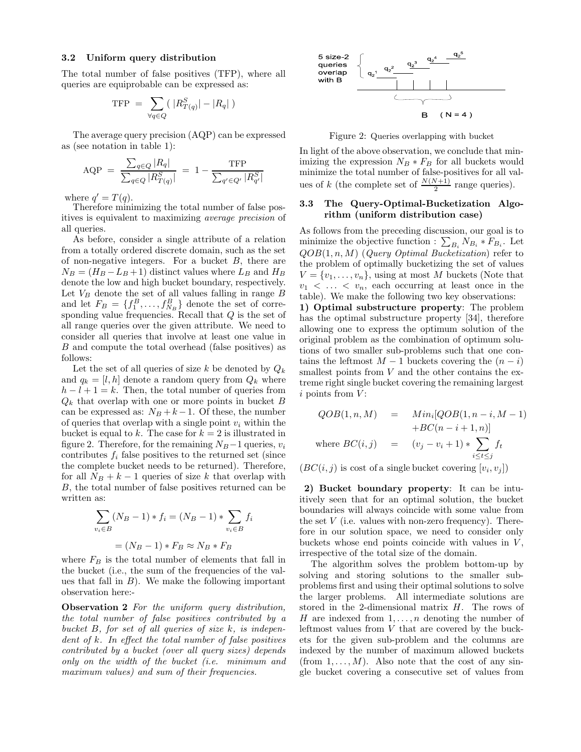### 3.2 Uniform query distribution

The total number of false positives (TFP), where all queries are equiprobable can be expressed as:

$$
TFP = \sum_{\forall q \in Q} \left( |R_{T(q)}^S| - |R_q| \right)
$$

The average query precision (AQP) can be expressed as (see notation in table 1):

$$
AQP = \frac{\sum_{q \in Q} |R_q|}{\sum_{q \in Q} |R_{T(q)}^S|} = 1 - \frac{TFP}{\sum_{q' \in Q'} |R_{q'}^S|}
$$

where  $q' = T(q)$ .

Therefore minimizing the total number of false positives is equivalent to maximizing average precision of all queries.

As before, consider a single attribute of a relation from a totally ordered discrete domain, such as the set of non-negative integers. For a bucket  $B$ , there are  $N_B = (H_B - L_B + 1)$  distinct values where  $L_B$  and  $H_B$ denote the low and high bucket boundary, respectively. Let  $V_B$  denote the set of all values falling in range  $B$ and let  $F_B = \{f_1^B, \ldots, f_{N_B}^B\}$  denote the set of corresponding value frequencies. Recall that  $Q$  is the set of all range queries over the given attribute. We need to consider all queries that involve at least one value in B and compute the total overhead (false positives) as follows:

Let the set of all queries of size k be denoted by  $Q_k$ and  $q_k = [l, h]$  denote a random query from  $Q_k$  where  $h - l + 1 = k$ . Then, the total number of queries from  $Q_k$  that overlap with one or more points in bucket B can be expressed as:  $N_B + k - 1$ . Of these, the number of queries that overlap with a single point  $v_i$  within the bucket is equal to k. The case for  $k = 2$  is illustrated in figure 2. Therefore, for the remaining  $N_B - 1$  queries,  $v_i$ contributes  $f_i$  false positives to the returned set (since the complete bucket needs to be returned). Therefore, for all  $N_B + k - 1$  queries of size k that overlap with B, the total number of false positives returned can be written as:

$$
\sum_{v_i \in B} (N_B - 1) * f_i = (N_B - 1) * \sum_{v_i \in B} f_i
$$

$$
= (N_B - 1) * F_B \approx N_B * F_B
$$

where  $F_B$  is the total number of elements that fall in the bucket (i.e., the sum of the frequencies of the values that fall in  $B$ ). We make the following important observation here:-

Observation 2 For the uniform query distribution, the total number of false positives contributed by a bucket B, for set of all queries of size k, is independent of k. In effect the total number of false positives contributed by a bucket (over all query sizes) depends only on the width of the bucket (i.e. minimum and maximum values) and sum of their frequencies.



Figure 2: Queries overlapping with bucket

In light of the above observation, we conclude that minimizing the expression  $N_B * F_B$  for all buckets would minimize the total number of false-positives for all values of k (the complete set of  $\frac{N(N+1)}{2}$  range queries).

# 3.3 The Query-Optimal-Bucketization Algorithm (uniform distribution case)

As follows from the preceding discussion, our goal is to minimize the objective function :  $\sum_{B_i} N_{B_i} * F_{B_i}$ . Let  $QOB(1, n, M)$  (*Query Optimal Bucketization*) refer to the problem of optimally bucketizing the set of values  $V = \{v_1, \ldots, v_n\}$ , using at most M buckets (Note that  $v_1$  < ... <  $v_n$ , each occurring at least once in the table). We make the following two key observations:

1) Optimal substructure property: The problem has the optimal substructure property [34], therefore allowing one to express the optimum solution of the original problem as the combination of optimum solutions of two smaller sub-problems such that one contains the leftmost  $M-1$  buckets covering the  $(n-i)$ smallest points from  $V$  and the other contains the extreme right single bucket covering the remaining largest  $i$  points from  $V$ :

$$
QOB(1, n, M) = Min_i[QOB(1, n - i, M - 1)+BC(n - i + 1, n)]
$$
  
where  $BC(i, j) = (v_j - v_i + 1) * \sum_{i \le t \le j} f_t$ 

 $(BC(i, j)$  is cost of a single bucket covering  $[v_i, v_j]$ )

2) Bucket boundary property: It can be intuitively seen that for an optimal solution, the bucket boundaries will always coincide with some value from the set  $V$  (i.e. values with non-zero frequency). Therefore in our solution space, we need to consider only buckets whose end points coincide with values in  $V$ , irrespective of the total size of the domain.

The algorithm solves the problem bottom-up by solving and storing solutions to the smaller subproblems first and using their optimal solutions to solve the larger problems. All intermediate solutions are stored in the 2-dimensional matrix H. The rows of H are indexed from  $1, \ldots, n$  denoting the number of leftmost values from V that are covered by the buckets for the given sub-problem and the columns are indexed by the number of maximum allowed buckets (from  $1, \ldots, M$ ). Also note that the cost of any single bucket covering a consecutive set of values from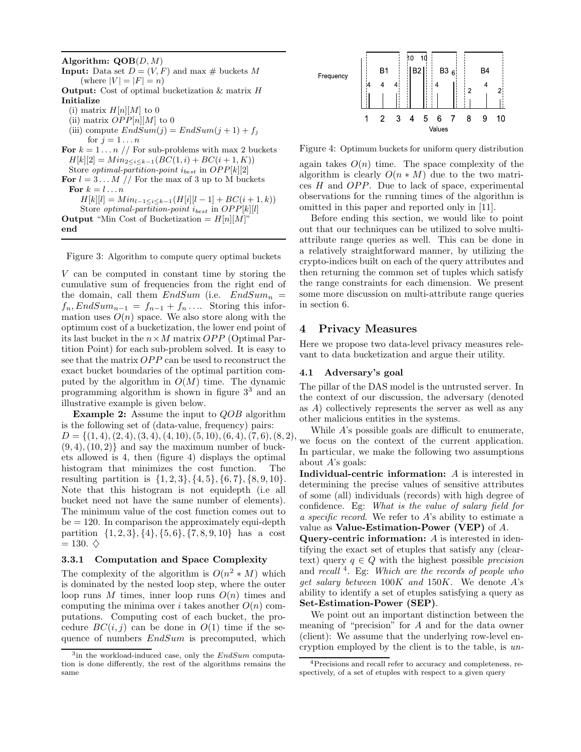Algorithm:  $\text{QOB}(D, M)$ **Input:** Data set  $D = (V, F)$  and max # buckets M (where  $|V| = |F| = n$ ) **Output:** Cost of optimal bucketization & matrix H Initialize (i) matrix  $H[n][M]$  to 0 (ii) matrix  $OPP[n][M]$  to 0 (iii) compute  $EndSum(j) = EndSum(j + 1) + f_j$ for  $j = 1 \ldots n$ For  $k = 1 \ldots n$  // For sub-problems with max 2 buckets  $H[k][2] = Min_{2 \leq i \leq k-1}(BC(1,i) + BC(i+1,K))$ Store *optimal-partition-point*  $i_{best}$  in  $OPP[k][2]$ For  $l = 3...M$  // For the max of 3 up to M buckets For  $k = l \dots n$  $H[k][l] = Min_{l-1 \leq i \leq k-1}(H[i][l-1] + BC(i+1, k))$ Store *optimal-partition-point*  $i_{best}$  in  $OPP[k][l]$ **Output** "Min Cost of Bucketization =  $H[n][M]$ " end

Figure 3: Algorithm to compute query optimal buckets

V can be computed in constant time by storing the cumulative sum of frequencies from the right end of the domain, call them  $EndSum$  (i.e.  $EndSum_n =$  $f_n, EndSum_{n-1} = f_{n-1} + f_n \dots$  Storing this information uses  $O(n)$  space. We also store along with the optimum cost of a bucketization, the lower end point of its last bucket in the  $n \times M$  matrix OPP (Optimal Partition Point) for each sub-problem solved. It is easy to see that the matrix OPP can be used to reconstruct the exact bucket boundaries of the optimal partition computed by the algorithm in  $O(M)$  time. The dynamic programming algorithm is shown in figure 3 <sup>3</sup> and an illustrative example is given below.

Example 2: Assume the input to QOB algorithm is the following set of (data-value, frequency) pairs:  $D = \{(1, 4), (2, 4), (3, 4), (4, 10), (5, 10), (6, 4), (7, 6), (8, 2),\}$  $(9, 4), (10, 2)$  and say the maximum number of buckets allowed is 4, then (figure 4) displays the optimal histogram that minimizes the cost function. The resulting partition is  $\{1, 2, 3\}, \{4, 5\}, \{6, 7\}, \{8, 9, 10\}.$ Note that this histogram is not equidepth (i.e all bucket need not have the same number of elements). The minimum value of the cost function comes out to  $be = 120$ . In comparison the approximately equi-depth partition  $\{1, 2, 3\}, \{4\}, \{5, 6\}, \{7, 8, 9, 10\}$  has a cost  $= 130.$   $\diamondsuit$ 

# 3.3.1 Computation and Space Complexity

The complexity of the algorithm is  $O(n^2 * M)$  which is dominated by the nested loop step, where the outer loop runs M times, inner loop runs  $O(n)$  times and computing the minima over i takes another  $O(n)$  computations. Computing cost of each bucket, the procedure  $BC(i, j)$  can be done in  $O(1)$  time if the sequence of numbers  $EndSum$  is precomputed, which



Figure 4: Optimum buckets for uniform query distribution

again takes  $O(n)$  time. The space complexity of the algorithm is clearly  $O(n * M)$  due to the two matrices H and OPP. Due to lack of space, experimental observations for the running times of the algorithm is omitted in this paper and reported only in [11].

Before ending this section, we would like to point out that our techniques can be utilized to solve multiattribute range queries as well. This can be done in a relatively straightforward manner, by utilizing the crypto-indices built on each of the query attributes and then returning the common set of tuples which satisfy the range constraints for each dimension. We present some more discussion on multi-attribute range queries in section 6.

# 4 Privacy Measures

Here we propose two data-level privacy measures relevant to data bucketization and argue their utility.

### 4.1 Adversary's goal

The pillar of the DAS model is the untrusted server. In the context of our discussion, the adversary (denoted as A) collectively represents the server as well as any other malicious entities in the systems.

While A's possible goals are difficult to enumerate, we focus on the context of the current application. In particular, we make the following two assumptions about  $A$ 's goals:

Individual-centric information: A is interested in determining the precise values of sensitive attributes of some (all) individuals (records) with high degree of confidence. Eg: What is the value of salary field for a specific record. We refer to A's ability to estimate a value as Value-Estimation-Power (VEP) of A.

Query-centric information: A is interested in identifying the exact set of etuples that satisfy any (cleartext) query  $q \in Q$  with the highest possible precision and recall<sup>4</sup>. Eg: Which are the records of people who get salary between  $100K$  and  $150K$ . We denote A's ability to identify a set of etuples satisfying a query as Set-Estimation-Power (SEP).

We point out an important distinction between the meaning of "precision" for A and for the data owner (client): We assume that the underlying row-level encryption employed by the client is to the table, is un-

<sup>&</sup>lt;sup>3</sup>in the workload-induced case, only the EndSum computation is done differently, the rest of the algorithms remains the same

<sup>4</sup>Precisions and recall refer to accuracy and completeness, respectively, of a set of etuples with respect to a given query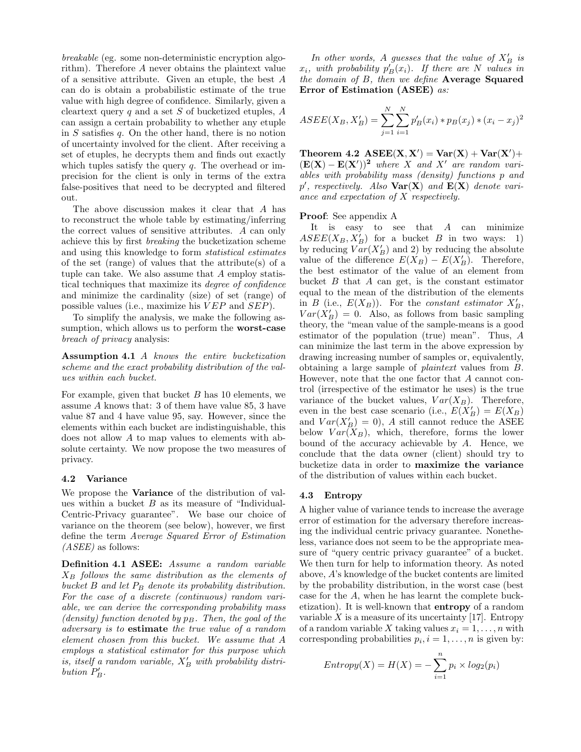breakable (eg. some non-deterministic encryption algorithm). Therefore A never obtains the plaintext value of a sensitive attribute. Given an etuple, the best A can do is obtain a probabilistic estimate of the true value with high degree of confidence. Similarly, given a cleartext query q and a set S of bucketized etuples,  $A$ can assign a certain probability to whether any etuple in S satisfies q. On the other hand, there is no notion of uncertainty involved for the client. After receiving a set of etuples, he decrypts them and finds out exactly which tuples satisfy the query  $q$ . The overhead or imprecision for the client is only in terms of the extra false-positives that need to be decrypted and filtered out.

The above discussion makes it clear that A has to reconstruct the whole table by estimating/inferring the correct values of sensitive attributes. A can only achieve this by first breaking the bucketization scheme and using this knowledge to form statistical estimates of the set (range) of values that the attribute(s) of a tuple can take. We also assume that A employ statistical techniques that maximize its degree of confidence and minimize the cardinality (size) of set (range) of possible values (i.e., maximize his  $VEP$  and  $SEP$ ).

To simplify the analysis, we make the following assumption, which allows us to perform the **worst-case** breach of privacy analysis:

Assumption 4.1 A knows the entire bucketization scheme and the exact probability distribution of the values within each bucket.

For example, given that bucket B has 10 elements, we assume A knows that: 3 of them have value 85, 3 have value 87 and 4 have value 95, say. However, since the elements within each bucket are indistinguishable, this does not allow A to map values to elements with absolute certainty. We now propose the two measures of privacy.

### 4.2 Variance

We propose the **Variance** of the distribution of values within a bucket  $B$  as its measure of "Individual-Centric-Privacy guarantee". We base our choice of variance on the theorem (see below), however, we first define the term Average Squared Error of Estimation  $(ASEE)$  as follows:

Definition 4.1 ASEE: Assume a random variable  $X_B$  follows the same distribution as the elements of bucket B and let  $P_B$  denote its probability distribution. For the case of a discrete (continuous) random variable, we can derive the corresponding probability mass (density) function denoted by  $p_B$ . Then, the goal of the adversary is to estimate the true value of a random element chosen from this bucket. We assume that A employs a statistical estimator for this purpose which is, itself a random variable,  $X'_B$  with probability distribution  $P'_B$ .

In other words, A guesses that the value of  $X'_B$  is  $x_i$ , with probability  $p'_B(x_i)$ . If there are N values in the domain of  $B$ , then we define Average Squared Error of Estimation (ASEE) as:

$$
ASEE(X_B, X'_B) = \sum_{j=1}^{N} \sum_{i=1}^{N} p'_B(x_i) * p_B(x_j) * (x_i - x_j)^2
$$

Theorem 4.2  $\text{ASEE}(X, X') = \text{Var}(X) + \text{Var}(X') +$  $(\mathbf{E}(\mathbf{X}) - \mathbf{E}(\mathbf{X}'))^2$  where X and X' are random variables with probability mass (density) functions p and  $p'$ , respectively. Also  $\text{Var}(\mathbf{X})$  and  $\mathbf{E}(\mathbf{X})$  denote variance and expectation of X respectively.

#### Proof: See appendix A

It is easy to see that  $A$  can minimize  $ASEE(X_B, X'_B)$  for a bucket B in two ways: 1) by reducing  $Var(X'_{B})$  and 2) by reducing the absolute value of the difference  $E(X_B) - E(X'_B)$ . Therefore, the best estimator of the value of an element from bucket  $B$  that  $A$  can get, is the constant estimator equal to the mean of the distribution of the elements in B (i.e.,  $E(X_B)$ ). For the constant estimator  $X'_B$ ,  $Var(X'_{B}) = 0$ . Also, as follows from basic sampling theory, the "mean value of the sample-means is a good estimator of the population (true) mean". Thus, A can minimize the last term in the above expression by drawing increasing number of samples or, equivalently, obtaining a large sample of plaintext values from B. However, note that the one factor that A cannot control (irrespective of the estimator he uses) is the true variance of the bucket values,  $Var(X_B)$ . Therefore, even in the best case scenario (i.e.,  $E(X'_{B}) = E(X_{B})$ and  $Var(X'_{B}) = 0$ , A still cannot reduce the ASEE below  $Var(X_B)$ , which, therefore, forms the lower bound of the accuracy achievable by A. Hence, we conclude that the data owner (client) should try to bucketize data in order to maximize the variance of the distribution of values within each bucket.

#### 4.3 Entropy

A higher value of variance tends to increase the average error of estimation for the adversary therefore increasing the individual centric privacy guarantee. Nonetheless, variance does not seem to be the appropriate measure of "query centric privacy guarantee" of a bucket. We then turn for help to information theory. As noted above, A's knowledge of the bucket contents are limited by the probability distribution, in the worst case (best case for the A, when he has learnt the complete bucketization). It is well-known that entropy of a random variable  $X$  is a measure of its uncertainty [17]. Entropy of a random variable X taking values  $x_i = 1, \ldots, n$  with corresponding probabilities  $p_i, i = 1, \ldots, n$  is given by:

$$
Entropy(X) = H(X) = -\sum_{i=1}^{n} p_i \times log_2(p_i)
$$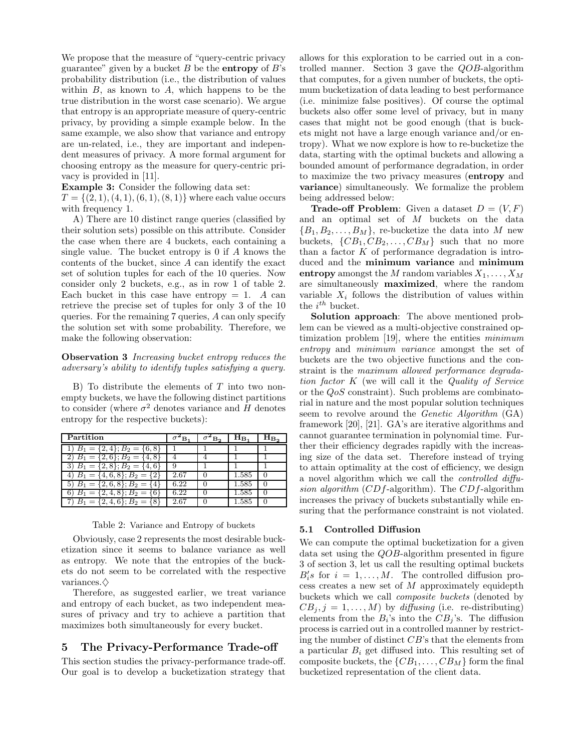We propose that the measure of "query-centric privacy guarantee" given by a bucket  $B$  be the **entropy** of  $B$ 's probability distribution (i.e., the distribution of values within  $B$ , as known to  $A$ , which happens to be the true distribution in the worst case scenario). We argue that entropy is an appropriate measure of query-centric privacy, by providing a simple example below. In the same example, we also show that variance and entropy are un-related, i.e., they are important and independent measures of privacy. A more formal argument for choosing entropy as the measure for query-centric privacy is provided in [11].

Example 3: Consider the following data set:

 $T = \{(2, 1), (4, 1), (6, 1), (8, 1)\}\$  where each value occurs with frequency 1.

A) There are 10 distinct range queries (classified by their solution sets) possible on this attribute. Consider the case when there are 4 buckets, each containing a single value. The bucket entropy is 0 if A knows the contents of the bucket, since A can identify the exact set of solution tuples for each of the 10 queries. Now consider only 2 buckets, e.g., as in row 1 of table 2. Each bucket in this case have entropy  $= 1$ . A can retrieve the precise set of tuples for only 3 of the 10 queries. For the remaining 7 queries, A can only specify the solution set with some probability. Therefore, we make the following observation:

**Observation 3** Increasing bucket entropy reduces the adversary's ability to identify tuples satisfying a query.

B) To distribute the elements of  $T$  into two nonempty buckets, we have the following distinct partitions to consider (where  $\sigma^2$  denotes variance and H denotes entropy for the respective buckets):

| Partition                                 | в.   | B. | HR.       |  |
|-------------------------------------------|------|----|-----------|--|
| $B_1 = \{2, 4\}; B_2 = \{6, 8\}$          |      |    |           |  |
| $\overline{B_1} = \{2,6\}; B_2 = \{4,8\}$ |      |    |           |  |
| $B_1 = \{2, 8\}; B_2 = \{4, 6\}$          |      |    |           |  |
| 4) $B_1 = \{4, 6, 8\}; B_2 = \{2\}$       | 2.67 |    | 1.585     |  |
| 5) $B_1 = \{2, 6, 8\}; B_2 = \{4\}$       | 6.22 |    | 1.585     |  |
| $B_1 = \{2, 4, 8\}; B_2 =$                | 6.22 |    | 1.585     |  |
| $B_1 = \{2, 4, 6\}; B_2 = \{8\}$          | 2.67 |    | $1.585\,$ |  |

#### Table 2: Variance and Entropy of buckets

Obviously, case 2 represents the most desirable bucketization since it seems to balance variance as well as entropy. We note that the entropies of the buckets do not seem to be correlated with the respective variances. $\diamondsuit$ 

Therefore, as suggested earlier, we treat variance and entropy of each bucket, as two independent measures of privacy and try to achieve a partition that maximizes both simultaneously for every bucket.

# 5 The Privacy-Performance Trade-off

This section studies the privacy-performance trade-off. Our goal is to develop a bucketization strategy that allows for this exploration to be carried out in a controlled manner. Section 3 gave the QOB-algorithm that computes, for a given number of buckets, the optimum bucketization of data leading to best performance (i.e. minimize false positives). Of course the optimal buckets also offer some level of privacy, but in many cases that might not be good enough (that is buckets might not have a large enough variance and/or entropy). What we now explore is how to re-bucketize the data, starting with the optimal buckets and allowing a bounded amount of performance degradation, in order to maximize the two privacy measures (entropy and variance) simultaneously. We formalize the problem being addressed below:

**Trade-off Problem:** Given a dataset  $D = (V, F)$ and an optimal set of M buckets on the data  ${B_1, B_2, \ldots, B_M}$ , re-bucketize the data into M new buckets,  $\{CB_1, CB_2, \ldots, CB_M\}$  such that no more than a factor  $K$  of performance degradation is introduced and the minimum variance and minimum entropy amongst the M random variables  $X_1, \ldots, X_M$ are simultaneously maximized, where the random variable  $X_i$  follows the distribution of values within the  $i^{th}$  bucket.

Solution approach: The above mentioned problem can be viewed as a multi-objective constrained optimization problem [19], where the entities *minimum* entropy and minimum variance amongst the set of buckets are the two objective functions and the constraint is the maximum allowed performance degradation factor K (we will call it the Quality of Service or the QoS constraint). Such problems are combinatorial in nature and the most popular solution techniques seem to revolve around the Genetic Algorithm (GA) framework [20], [21]. GA's are iterative algorithms and cannot guarantee termination in polynomial time. Further their efficiency degrades rapidly with the increasing size of the data set. Therefore instead of trying to attain optimality at the cost of efficiency, we design a novel algorithm which we call the controlled diffusion algorithm  $(CDf\text{-algorithm})$ . The  $CDf\text{-algorithm}$ increases the privacy of buckets substantially while ensuring that the performance constraint is not violated.

#### 5.1 Controlled Diffusion

We can compute the optimal bucketization for a given data set using the QOB-algorithm presented in figure 3 of section 3, let us call the resulting optimal buckets  $B_i$ 's for  $i = 1, ..., M$ . The controlled diffusion process creates a new set of M approximately equidepth buckets which we call composite buckets (denoted by  $CB_i, j = 1, \ldots, M$  by diffusing (i.e. re-distributing) elements from the  $B_i$ 's into the  $CB_j$ 's. The diffusion process is carried out in a controlled manner by restricting the number of distinct CB's that the elements from a particular  $B_i$  get diffused into. This resulting set of composite buckets, the  $\{CB_1, \ldots, CB_M\}$  form the final bucketized representation of the client data.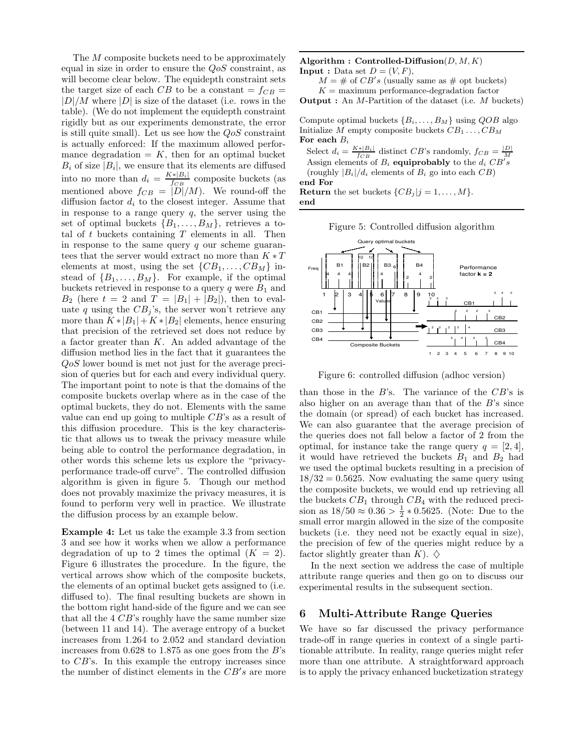The M composite buckets need to be approximately equal in size in order to ensure the  $QoS$  constraint, as will become clear below. The equidepth constraint sets the target size of each CB to be a constant  $= f_{CB} =$  $|D|/M$  where  $|D|$  is size of the dataset (i.e. rows in the table). (We do not implement the equidepth constraint rigidly but as our experiments demonstrate, the error is still quite small). Let us see how the  $Q_0S$  constraint is actually enforced: If the maximum allowed performance degradation  $= K$ , then for an optimal bucket  $B_i$  of size  $|B_i|$ , we ensure that its elements are diffused into no more than  $d_i = \frac{K * |B_i|}{f_{CP}}$  $\frac{F[B_i]}{f_{CB}}$  composite buckets (as mentioned above  $f_{CB} = |D|/M$ . We round-off the diffusion factor  $d_i$  to the closest integer. Assume that in response to a range query  $q$ , the server using the set of optimal buckets  ${B_1, \ldots, B_M}$ , retrieves a total of  $t$  buckets containing  $T$  elements in all. Then in response to the same query  $q$  our scheme guarantees that the server would extract no more than  $K * T$ elements at most, using the set  $\{CB_1, \ldots, CB_M\}$  instead of  $\{B_1, \ldots, B_M\}$ . For example, if the optimal buckets retrieved in response to a query  $q$  were  $B_1$  and  $B_2$  (here  $t = 2$  and  $T = |B_1| + |B_2|$ ), then to evaluate q using the  $CB<sub>j</sub>$ 's, the server won't retrieve any more than  $K * |B_1| + K * |B_2|$  elements, hence ensuring that precision of the retrieved set does not reduce by a factor greater than K. An added advantage of the diffusion method lies in the fact that it guarantees the QoS lower bound is met not just for the average precision of queries but for each and every individual query. The important point to note is that the domains of the composite buckets overlap where as in the case of the optimal buckets, they do not. Elements with the same value can end up going to multiple  $CB$ 's as a result of this diffusion procedure. This is the key characteristic that allows us to tweak the privacy measure while being able to control the performance degradation, in other words this scheme lets us explore the "privacyperformance trade-off curve". The controlled diffusion algorithm is given in figure 5. Though our method does not provably maximize the privacy measures, it is found to perform very well in practice. We illustrate the diffusion process by an example below.

Example 4: Let us take the example 3.3 from section 3 and see how it works when we allow a performance degradation of up to 2 times the optimal  $(K = 2)$ . Figure 6 illustrates the procedure. In the figure, the vertical arrows show which of the composite buckets, the elements of an optimal bucket gets assigned to (i.e. diffused to). The final resulting buckets are shown in the bottom right hand-side of the figure and we can see that all the  $4 \text{ } CB$ 's roughly have the same number size (between 11 and 14). The average entropy of a bucket increases from 1.264 to 2.052 and standard deviation increases from  $0.628$  to 1.875 as one goes from the B's to CB's. In this example the entropy increases since the number of distinct elements in the  $CB's$  are more

Algorithm : Controlled-Diffusion $(D, M, K)$ **Input :** Data set  $D = (V, F)$ ,

 $M = #$  of  $CB's$  (usually same as # opt buckets)  $K =$  maximum performance-degradation factor

**Output** : An  $M$ -Partition of the dataset (i.e.  $M$  buckets)

Compute optimal buckets  $\{B_i, \ldots, B_M\}$  using  $QOB$  algo Initialize M empty composite buckets  $CB_1 \ldots, CB_M$ For each  $B_i$ 

Select  $d_i = \frac{K * |B_i|}{f_{CB}}$  distinct  $CB$ 's randomly,  $f_{CB} = \frac{|D|}{M}$ <br>Assign elements of  $B_i$  **equiprobably** to the  $d_i$   $CB's$ (roughly  $|B_i|/d_i$  elements of  $B_i$  go into each  $CB$ ) end For **Return** the set buckets  $\{CB_j | j = 1, \ldots, M\}.$ 

end

Figure 5: Controlled diffusion algorithm



Figure 6: controlled diffusion (adhoc version)

than those in the  $B$ 's. The variance of the  $CB$ 's is also higher on an average than that of the  $B$ 's since the domain (or spread) of each bucket has increased. We can also guarantee that the average precision of the queries does not fall below a factor of 2 from the optimal, for instance take the range query  $q = [2, 4]$ , it would have retrieved the buckets  $B_1$  and  $B_2$  had we used the optimal buckets resulting in a precision of  $18/32 = 0.5625$ . Now evaluating the same query using the composite buckets, we would end up retrieving all the buckets  $CB_1$  through  $CB_4$  with the reduced precision as  $18/50 \approx 0.36 > \frac{1}{2} * 0.5625$ . (Note: Due to the small error margin allowed in the size of the composite buckets (i.e. they need not be exactly equal in size), the precision of few of the queries might reduce by a factor slightly greater than  $K$ ).  $\diamondsuit$ 

In the next section we address the case of multiple attribute range queries and then go on to discuss our experimental results in the subsequent section.

# 6 Multi-Attribute Range Queries

We have so far discussed the privacy performance trade-off in range queries in context of a single partitionable attribute. In reality, range queries might refer more than one attribute. A straightforward approach is to apply the privacy enhanced bucketization strategy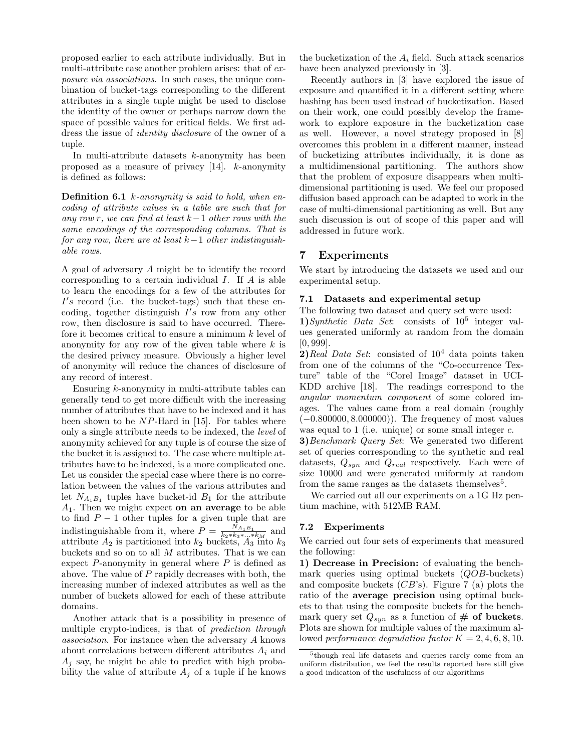proposed earlier to each attribute individually. But in multi-attribute case another problem arises: that of exposure via associations. In such cases, the unique combination of bucket-tags corresponding to the different attributes in a single tuple might be used to disclose the identity of the owner or perhaps narrow down the space of possible values for critical fields. We first address the issue of identity disclosure of the owner of a tuple.

In multi-attribute datasets  $k$ -anonymity has been proposed as a measure of privacy [14]. k-anonymity is defined as follows:

**Definition 6.1** *k*-anonymity is said to hold, when encoding of attribute values in a table are such that for any row r, we can find at least  $k-1$  other rows with the same encodings of the corresponding columns. That is for any row, there are at least  $k-1$  other indistinguishable rows.

A goal of adversary A might be to identify the record corresponding to a certain individual  $I$ . If  $A$  is able to learn the encodings for a few of the attributes for  $I's$  record (i.e. the bucket-tags) such that these encoding, together distinguish  $I's$  row from any other row, then disclosure is said to have occurred. Therefore it becomes critical to ensure a minimum  $k$  level of anonymity for any row of the given table where  $k$  is the desired privacy measure. Obviously a higher level of anonymity will reduce the chances of disclosure of any record of interest.

Ensuring k-anonymity in multi-attribute tables can generally tend to get more difficult with the increasing number of attributes that have to be indexed and it has been shown to be  $NP$ -Hard in [15]. For tables where only a single attribute needs to be indexed, the level of anonymity achieved for any tuple is of course the size of the bucket it is assigned to. The case where multiple attributes have to be indexed, is a more complicated one. Let us consider the special case where there is no correlation between the values of the various attributes and let  $N_{A_1B_1}$  tuples have bucket-id  $B_1$  for the attribute  $A_1$ . Then we might expect on an average to be able to find  $P-1$  other tuples for a given tuple that are indistinguishable from it, where  $P = \frac{N_{A_1 B_1}}{k_1 k_2 k_3 k_4}$  $\frac{N_{A_1B_1}}{k_2*k_3*\ldots*k_M}$  and attribute  $A_2$  is partitioned into  $k_2$  buckets,  $A_3$  into  $k_3$ buckets and so on to all  $M$  attributes. That is we can expect  $P$ -anonymity in general where  $P$  is defined as above. The value of  $P$  rapidly decreases with both, the increasing number of indexed attributes as well as the number of buckets allowed for each of these attribute domains.

Another attack that is a possibility in presence of multiple crypto-indices, is that of *prediction through* association. For instance when the adversary A knows about correlations between different attributes  $A_i$  and  $A_i$  say, he might be able to predict with high probability the value of attribute  $A_j$  of a tuple if he knows the bucketization of the  $A_i$  field. Such attack scenarios have been analyzed previously in [3].

Recently authors in [3] have explored the issue of exposure and quantified it in a different setting where hashing has been used instead of bucketization. Based on their work, one could possibly develop the framework to explore exposure in the bucketization case as well. However, a novel strategy proposed in [8] overcomes this problem in a different manner, instead of bucketizing attributes individually, it is done as a multidimensional partitioning. The authors show that the problem of exposure disappears when multidimensional partitioning is used. We feel our proposed diffusion based approach can be adapted to work in the case of multi-dimensional partitioning as well. But any such discussion is out of scope of this paper and will addressed in future work.

# 7 Experiments

We start by introducing the datasets we used and our experimental setup.

# 7.1 Datasets and experimental setup

The following two dataset and query set were used: 1) Synthetic Data Set: consists of  $10^5$  integer values generated uniformly at random from the domain [0, 999].

**2)**Real Data Set: consisted of  $10^4$  data points taken from one of the columns of the "Co-occurrence Texture" table of the "Corel Image" dataset in UCI-KDD archive [18]. The readings correspond to the angular momentum component of some colored images. The values came from a real domain (roughly (−0.800000, 8.000000)). The frequency of most values was equal to 1 (i.e. unique) or some small integer  $c$ .

**3**)Benchmark Query Set: We generated two different set of queries corresponding to the synthetic and real datasets,  $Q_{syn}$  and  $Q_{real}$  respectively. Each were of size 10000 and were generated uniformly at random from the same ranges as the datasets themselves<sup>5</sup>.

We carried out all our experiments on a 1G Hz pentium machine, with 512MB RAM.

### 7.2 Experiments

We carried out four sets of experiments that measured the following:

1) Decrease in Precision: of evaluating the benchmark queries using optimal buckets (*QOB*-buckets) and composite buckets  $(CB's)$ . Figure 7 (a) plots the ratio of the average precision using optimal buckets to that using the composite buckets for the benchmark query set  $Q_{syn}$  as a function of  $#$  of buckets. Plots are shown for multiple values of the maximum allowed performance degradation factor  $K = 2, 4, 6, 8, 10$ .

<sup>5</sup> though real life datasets and queries rarely come from an uniform distribution, we feel the results reported here still give a good indication of the usefulness of our algorithms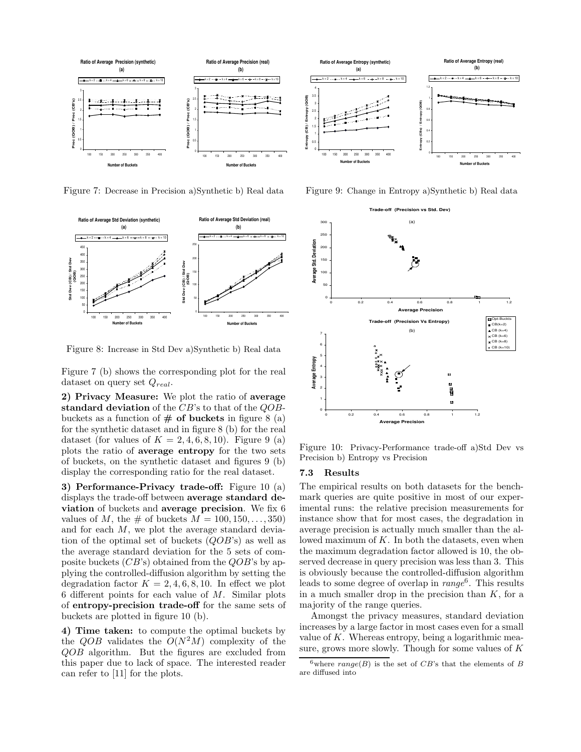

Figure 7: Decrease in Precision a)Synthetic b) Real data



Figure 8: Increase in Std Dev a)Synthetic b) Real data

Figure 7 (b) shows the corresponding plot for the real dataset on query set  $Q_{real}$ .

2) Privacy Measure: We plot the ratio of average standard deviation of the  $CB$ 's to that of the  $QOB$ buckets as a function of  $#$  of buckets in figure 8 (a) for the synthetic dataset and in figure 8 (b) for the real dataset (for values of  $K = 2, 4, 6, 8, 10$ ). Figure 9 (a) plots the ratio of average entropy for the two sets of buckets, on the synthetic dataset and figures 9 (b) display the corresponding ratio for the real dataset.

3) Performance-Privacy trade-off: Figure 10 (a) displays the trade-off between average standard deviation of buckets and average precision. We fix 6 values of M, the  $\#$  of buckets  $M = 100, 150, \ldots, 350$ and for each  $M$ , we plot the average standard deviation of the optimal set of buckets  $(QOB)$ 's) as well as the average standard deviation for the 5 sets of composite buckets  $(CB)$  obtained from the  $QOB$ 's by applying the controlled-diffusion algorithm by setting the degradation factor  $K = 2, 4, 6, 8, 10$ . In effect we plot 6 different points for each value of  $M$ . Similar plots of entropy-precision trade-off for the same sets of buckets are plotted in figure 10 (b).

4) Time taken: to compute the optimal buckets by the  $QOB$  validates the  $O(N^2M)$  complexity of the QOB algorithm. But the figures are excluded from this paper due to lack of space. The interested reader can refer to [11] for the plots.



Figure 9: Change in Entropy a)Synthetic b) Real data



Figure 10: Privacy-Performance trade-off a)Std Dev vs Precision b) Entropy vs Precision

#### 7.3 Results

The empirical results on both datasets for the benchmark queries are quite positive in most of our experimental runs: the relative precision measurements for instance show that for most cases, the degradation in average precision is actually much smaller than the allowed maximum of  $K$ . In both the datasets, even when the maximum degradation factor allowed is 10, the observed decrease in query precision was less than 3. This is obviously because the controlled-diffusion algorithm leads to some degree of overlap in  $range^6$ . This results in a much smaller drop in the precision than  $K$ , for a majority of the range queries.

Amongst the privacy measures, standard deviation increases by a large factor in most cases even for a small value of  $K$ . Whereas entropy, being a logarithmic measure, grows more slowly. Though for some values of  $K$ 

<sup>&</sup>lt;sup>6</sup>where  $range(B)$  is the set of  $CB$ 's that the elements of B are diffused into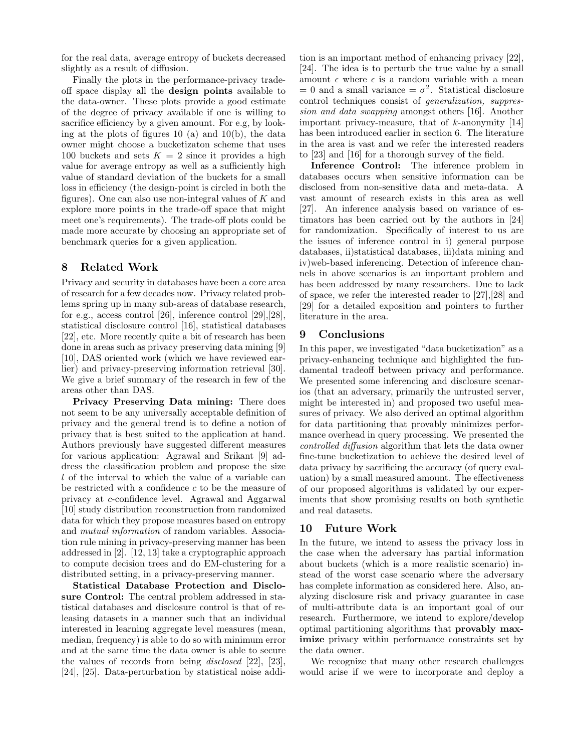for the real data, average entropy of buckets decreased slightly as a result of diffusion.

Finally the plots in the performance-privacy tradeoff space display all the design points available to the data-owner. These plots provide a good estimate of the degree of privacy available if one is willing to sacrifice efficiency by a given amount. For e.g, by looking at the plots of figures 10 (a) and 10(b), the data owner might choose a bucketizaton scheme that uses 100 buckets and sets  $K = 2$  since it provides a high value for average entropy as well as a sufficiently high value of standard deviation of the buckets for a small loss in efficiency (the design-point is circled in both the figures). One can also use non-integral values of  $K$  and explore more points in the trade-off space that might meet one's requirements). The trade-off plots could be made more accurate by choosing an appropriate set of benchmark queries for a given application.

# 8 Related Work

Privacy and security in databases have been a core area of research for a few decades now. Privacy related problems spring up in many sub-areas of database research, for e.g., access control [26], inference control [29],[28], statistical disclosure control [16], statistical databases [22], etc. More recently quite a bit of research has been done in areas such as privacy preserving data mining [9] [10], DAS oriented work (which we have reviewed earlier) and privacy-preserving information retrieval [30]. We give a brief summary of the research in few of the areas other than DAS.

Privacy Preserving Data mining: There does not seem to be any universally acceptable definition of privacy and the general trend is to define a notion of privacy that is best suited to the application at hand. Authors previously have suggested different measures for various application: Agrawal and Srikant [9] address the classification problem and propose the size l of the interval to which the value of a variable can be restricted with a confidence c to be the measure of privacy at c-confidence level. Agrawal and Aggarwal [10] study distribution reconstruction from randomized data for which they propose measures based on entropy and mutual information of random variables. Association rule mining in privacy-preserving manner has been addressed in [2]. [12, 13] take a cryptographic approach to compute decision trees and do EM-clustering for a distributed setting, in a privacy-preserving manner.

Statistical Database Protection and Disclosure Control: The central problem addressed in statistical databases and disclosure control is that of releasing datasets in a manner such that an individual interested in learning aggregate level measures (mean, median, frequency) is able to do so with minimum error and at the same time the data owner is able to secure the values of records from being disclosed [22], [23], [24], [25]. Data-perturbation by statistical noise addi-

tion is an important method of enhancing privacy [22], [24]. The idea is to perturb the true value by a small amount  $\epsilon$  where  $\epsilon$  is a random variable with a mean  $= 0$  and a small variance  $= \sigma^2$ . Statistical disclosure control techniques consist of generalization, suppression and data swapping amongst others [16]. Another important privacy-measure, that of  $k$ -anonymity [14] has been introduced earlier in section 6. The literature in the area is vast and we refer the interested readers to [23] and [16] for a thorough survey of the field.

Inference Control: The inference problem in databases occurs when sensitive information can be disclosed from non-sensitive data and meta-data. A vast amount of research exists in this area as well [27]. An inference analysis based on variance of estimators has been carried out by the authors in [24] for randomization. Specifically of interest to us are the issues of inference control in i) general purpose databases, ii)statistical databases, iii)data mining and iv)web-based inferencing. Detection of inference channels in above scenarios is an important problem and has been addressed by many researchers. Due to lack of space, we refer the interested reader to [27],[28] and [29] for a detailed exposition and pointers to further literature in the area.

# 9 Conclusions

In this paper, we investigated "data bucketization" as a privacy-enhancing technique and highlighted the fundamental tradeoff between privacy and performance. We presented some inferencing and disclosure scenarios (that an adversary, primarily the untrusted server, might be interested in) and proposed two useful measures of privacy. We also derived an optimal algorithm for data partitioning that provably minimizes performance overhead in query processing. We presented the controlled diffusion algorithm that lets the data owner fine-tune bucketization to achieve the desired level of data privacy by sacrificing the accuracy (of query evaluation) by a small measured amount. The effectiveness of our proposed algorithms is validated by our experiments that show promising results on both synthetic and real datasets.

# 10 Future Work

In the future, we intend to assess the privacy loss in the case when the adversary has partial information about buckets (which is a more realistic scenario) instead of the worst case scenario where the adversary has complete information as considered here. Also, analyzing disclosure risk and privacy guarantee in case of multi-attribute data is an important goal of our research. Furthermore, we intend to explore/develop optimal partitioning algorithms that provably maximize privacy within performance constraints set by the data owner.

We recognize that many other research challenges would arise if we were to incorporate and deploy a